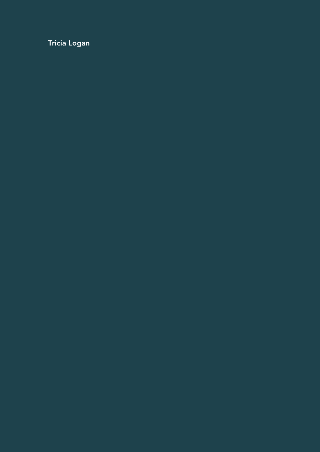Tricia Logan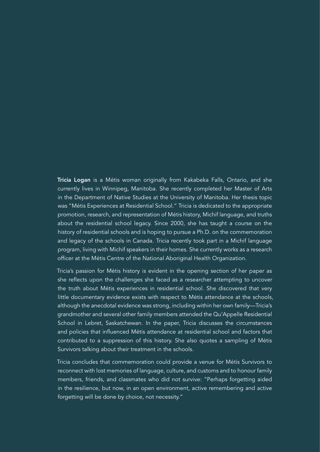Tricia Logan is a Métis woman originally from Kakabeka Falls, Ontario, and she currently lives in Winnipeg, Manitoba. She recently completed her Master of Arts in the Department of Native Studies at the University of Manitoba. Her thesis topic was "Métis Experiences at Residential School." Tricia is dedicated to the appropriate promotion, research, and representation of Métis history, Michif language, and truths about the residential school legacy. Since 2000, she has taught a course on the history of residential schools and is hoping to pursue a Ph.D. on the commemoration and legacy of the schools in Canada. Tricia recently took part in a Michif language program, living with Michif speakers in their homes. She currently works as a research officer at the Métis Centre of the National Aboriginal Health Organization.

Tricia's passion for Métis history is evident in the opening section of her paper as she reflects upon the challenges she faced as a researcher attempting to uncover the truth about Métis experiences in residential school. She discovered that very little documentary evidence exists with respect to Métis attendance at the schools, although the anecdotal evidence was strong, including within her own family—Tricia's grandmother and several other family members attended the Qu'Appelle Residential School in Lebret, Saskatchewan. In the paper, Tricia discusses the circumstances and policies that influenced Métis attendance at residential school and factors that contributed to a suppression of this history. She also quotes a sampling of Métis Survivors talking about their treatment in the schools.

Tricia concludes that commemoration could provide a venue for Métis Survivors to reconnect with lost memories of language, culture, and customs and to honour family members, friends, and classmates who did not survive: "Perhaps forgetting aided in the resilience, but now, in an open environment, active remembering and active forgetting will be done by choice, not necessity."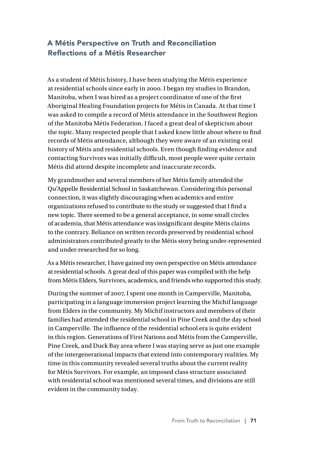# A Métis Perspective on Truth and Reconciliation Reflections of a Métis Researcher

As a student of Métis history, I have been studying the Métis experience at residential schools since early in 2000. I began my studies in Brandon, Manitoba, when I was hired as a project coordinator of one of the first Aboriginal Healing Foundation projects for Métis in Canada. At that time I was asked to compile a record of Métis attendance in the Southwest Region of the Manitoba Métis Federation. I faced a great deal of skepticism about the topic. Many respected people that I asked knew little about where to find records of Métis attendance, although they were aware of an existing oral history of Métis and residential schools. Even though finding evidence and contacting Survivors was initially difficult, most people were quite certain Métis did attend despite incomplete and inaccurate records.

My grandmother and several members of her Métis family attended the Qu'Appelle Residential School in Saskatchewan. Considering this personal connection, it was slightly discouraging when academics and entire organizations refused to contribute to the study or suggested that I find a new topic. There seemed to be a general acceptance, in some small circles of academia, that Métis attendance was insignificant despite Métis claims to the contrary. Reliance on written records preserved by residential school administrators contributed greatly to the Métis story being under-represented and under-researched for so long.

As a Métis researcher, I have gained my own perspective on Métis attendance at residential schools. A great deal of this paper was compiled with the help from Métis Elders, Survivors, academics, and friends who supported this study.

During the summer of 2007, I spent one month in Camperville, Manitoba, participating in a language immersion project learning the Michif language from Elders in the community. My Michif instructors and members of their families had attended the residential school in Pine Creek and the day school in Camperville. The influence of the residential school era is quite evident in this region. Generations of First Nations and Métis from the Camperville, Pine Creek, and Duck Bay area where I was staying serve as just one example of the intergenerational impacts that extend into contemporary realities. My time in this community revealed several truths about the current reality for Métis Survivors. For example, an imposed class structure associated with residential school was mentioned several times, and divisions are still evident in the community today.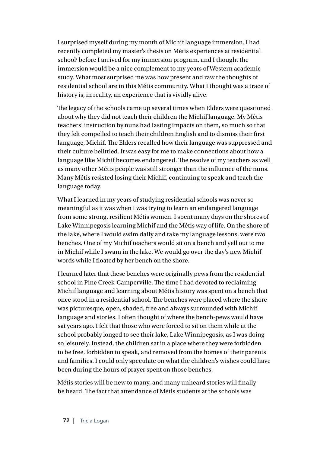I surprised myself during my month of Michif language immersion. I had recently completed my master's thesis on Métis experiences at residential school<sup>1</sup> before I arrived for my immersion program, and I thought the immersion would be a nice complement to my years of Western academic study. What most surprised me was how present and raw the thoughts of residential school are in this Métis community. What I thought was a trace of history is, in reality, an experience that is vividly alive.

The legacy of the schools came up several times when Elders were questioned about why they did not teach their children the Michif language. My Métis teachers' instruction by nuns had lasting impacts on them, so much so that they felt compelled to teach their children English and to dismiss their first language, Michif. The Elders recalled how their language was suppressed and their culture belittled. It was easy for me to make connections about how a language like Michif becomes endangered. The resolve of my teachers as well as many other Métis people was still stronger than the influence of the nuns. Many Métis resisted losing their Michif, continuing to speak and teach the language today.

What I learned in my years of studying residential schools was never so meaningful as it was when I was trying to learn an endangered language from some strong, resilient Métis women. I spent many days on the shores of Lake Winnipegosis learning Michif and the Métis way of life. On the shore of the lake, where I would swim daily and take my language lessons, were two benches. One of my Michif teachers would sit on a bench and yell out to me in Michif while I swam in the lake. We would go over the day's new Michif words while I floated by her bench on the shore.

I learned later that these benches were originally pews from the residential school in Pine Creek-Camperville. The time I had devoted to reclaiming Michif language and learning about Métis history was spent on a bench that once stood in a residential school. The benches were placed where the shore was picturesque, open, shaded, free and always surrounded with Michif language and stories. I often thought of where the bench-pews would have sat years ago. I felt that those who were forced to sit on them while at the school probably longed to see their lake, Lake Winnipegosis, as I was doing so leisurely. Instead, the children sat in a place where they were forbidden to be free, forbidden to speak, and removed from the homes of their parents and families. I could only speculate on what the children's wishes could have been during the hours of prayer spent on those benches.

Métis stories will be new to many, and many unheard stories will finally be heard. The fact that attendance of Métis students at the schools was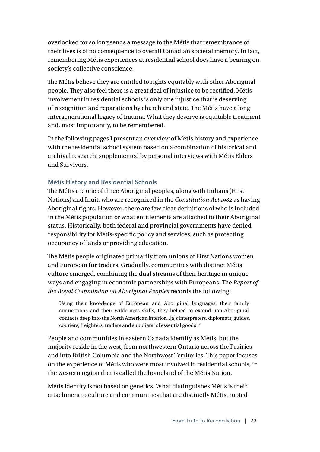overlooked for so long sends a message to the Métis that remembrance of their lives is of no consequence to overall Canadian societal memory. In fact, remembering Métis experiences at residential school does have a bearing on society's collective conscience.

The Métis believe they are entitled to rights equitably with other Aboriginal people. They also feel there is a great deal of injustice to be rectified. Métis involvement in residential schools is only one injustice that is deserving of recognition and reparations by church and state. The Métis have a long intergenerational legacy of trauma. What they deserve is equitable treatment and, most importantly, to be remembered.

In the following pages I present an overview of Métis history and experience with the residential school system based on a combination of historical and archival research, supplemented by personal interviews with Métis Elders and Survivors.

# Métis History and Residential Schools

The Métis are one of three Aboriginal peoples, along with Indians (First Nations) and Inuit, who are recognized in the *Constitution Act 1982* as having Aboriginal rights. However, there are few clear definitions of who is included in the Métis population or what entitlements are attached to their Aboriginal status. Historically, both federal and provincial governments have denied responsibility for Métis-specific policy and services, such as protecting occupancy of lands or providing education.

The Métis people originated primarily from unions of First Nations women and European fur traders. Gradually, communities with distinct Métis culture emerged, combining the dual streams of their heritage in unique ways and engaging in economic partnerships with Europeans. The *Report of the Royal Commission on Aboriginal Peoples* records the following:

Using their knowledge of European and Aboriginal languages, their family connections and their wilderness skills, they helped to extend non-Aboriginal contacts deep into the North American interior…[a]s interpreters, diplomats, guides, couriers, freighters, traders and suppliers [of essential goods].<sup>2</sup>

People and communities in eastern Canada identify as Métis, but the majority reside in the west, from northwestern Ontario across the Prairies and into British Columbia and the Northwest Territories. This paper focuses on the experience of Métis who were most involved in residential schools, in the western region that is called the homeland of the Métis Nation.

Métis identity is not based on genetics. What distinguishes Métis is their attachment to culture and communities that are distinctly Métis, rooted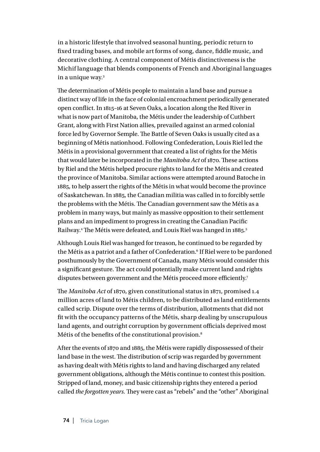in a historic lifestyle that involved seasonal hunting, periodic return to fixed trading bases, and mobile art forms of song, dance, fiddle music, and decorative clothing. A central component of Métis distinctiveness is the Michif language that blends components of French and Aboriginal languages in a unique way.3

The determination of Métis people to maintain a land base and pursue a distinct way of life in the face of colonial encroachment periodically generated open conflict. In 1815–16 at Seven Oaks, a location along the Red River in what is now part of Manitoba, the Métis under the leadership of Cuthbert Grant, along with First Nation allies, prevailed against an armed colonial force led by Governor Semple. The Battle of Seven Oaks is usually cited as a beginning of Métis nationhood. Following Confederation, Louis Riel led the Métis in a provisional government that created a list of rights for the Métis that would later be incorporated in the *Manitoba Act* of 1870. These actions by Riel and the Métis helped procure rights to land for the Métis and created the province of Manitoba. Similar actions were attempted around Batoche in 1885, to help assert the rights of the Métis in what would become the province of Saskatchewan. In 1885, the Canadian militia was called in to forcibly settle the problems with the Métis. The Canadian government saw the Métis as a problem in many ways, but mainly as massive opposition to their settlement plans and an impediment to progress in creating the Canadian Pacific Railway.4 The Métis were defeated, and Louis Riel was hanged in 1885.5

Although Louis Riel was hanged for treason, he continued to be regarded by the Métis as a patriot and a father of Confederation.<sup>6</sup> If Riel were to be pardoned posthumously by the Government of Canada, many Métis would consider this a significant gesture. The act could potentially make current land and rights disputes between government and the Métis proceed more efficiently.<sup>7</sup>

The *Manitoba Act* of 1870, given constitutional status in 1871, promised 1.4 million acres of land to Métis children, to be distributed as land entitlements called scrip. Dispute over the terms of distribution, allotments that did not fit with the occupancy patterns of the Métis, sharp dealing by unscrupulous land agents, and outright corruption by government officials deprived most Métis of the benefits of the constitutional provision.8

After the events of 1870 and 1885, the Métis were rapidly dispossessed of their land base in the west. The distribution of scrip was regarded by government as having dealt with Métis rights to land and having discharged any related government obligations, although the Métis continue to contest this position. Stripped of land, money, and basic citizenship rights they entered a period called *the forgotten years.* They were cast as "rebels" and the "other" Aboriginal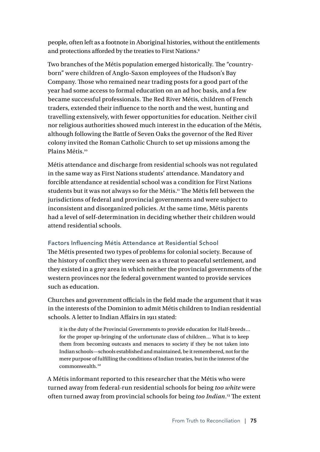people, often left as a footnote in Aboriginal histories, without the entitlements and protections afforded by the treaties to First Nations.9

Two branches of the Métis population emerged historically. The "countryborn" were children of Anglo-Saxon employees of the Hudson's Bay Company. Those who remained near trading posts for a good part of the year had some access to formal education on an ad hoc basis, and a few became successful professionals. The Red River Métis, children of French traders, extended their influence to the north and the west, hunting and travelling extensively, with fewer opportunities for education. Neither civil nor religious authorities showed much interest in the education of the Métis, although following the Battle of Seven Oaks the governor of the Red River colony invited the Roman Catholic Church to set up missions among the Plains Métis.<sup>10</sup>

Métis attendance and discharge from residential schools was not regulated in the same way as First Nations students' attendance. Mandatory and forcible attendance at residential school was a condition for First Nations students but it was not always so for the Métis.<sup>11</sup> The Métis fell between the jurisdictions of federal and provincial governments and were subject to inconsistent and disorganized policies. At the same time, Métis parents had a level of self-determination in deciding whether their children would attend residential schools.

# Factors Influencing Métis Attendance at Residential School

The Métis presented two types of problems for colonial society. Because of the history of conflict they were seen as a threat to peaceful settlement, and they existed in a grey area in which neither the provincial governments of the western provinces nor the federal government wanted to provide services such as education.

Churches and government officials in the field made the argument that it was in the interests of the Dominion to admit Métis children to Indian residential schools. A letter to Indian Affairs in 1911 stated:

it is the duty of the Provincial Governments to provide education for Half-breeds… for the proper up-bringing of the unfortunate class of children… What is to keep them from becoming outcasts and menaces to society if they be not taken into Indian schools—schools established and maintained, be it remembered, not for the mere purpose of fulfilling the conditions of Indian treaties, but in the interest of the commonwealth.<sup>12</sup>

A Métis informant reported to this researcher that the Métis who were turned away from federal-run residential schools for being *too white* were often turned away from provincial schools for being *too Indian*. 13 The extent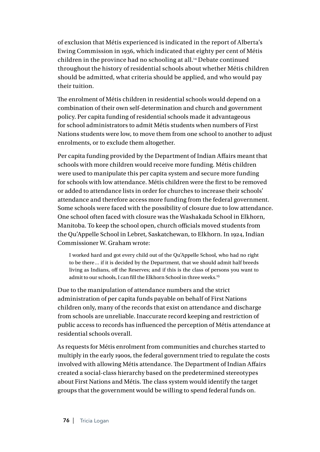of exclusion that Métis experienced is indicated in the report of Alberta's Ewing Commission in 1936, which indicated that eighty per cent of Métis children in the province had no schooling at all.<sup>14</sup> Debate continued throughout the history of residential schools about whether Métis children should be admitted, what criteria should be applied, and who would pay their tuition.

The enrolment of Métis children in residential schools would depend on a combination of their own self-determination and church and government policy. Per capita funding of residential schools made it advantageous for school administrators to admit Métis students when numbers of First Nations students were low, to move them from one school to another to adjust enrolments, or to exclude them altogether.

Per capita funding provided by the Department of Indian Affairs meant that schools with more children would receive more funding. Métis children were used to manipulate this per capita system and secure more funding for schools with low attendance. Métis children were the first to be removed or added to attendance lists in order for churches to increase their schools' attendance and therefore access more funding from the federal government. Some schools were faced with the possibility of closure due to low attendance. One school often faced with closure was the Washakada School in Elkhorn, Manitoba. To keep the school open, church officials moved students from the Qu'Appelle School in Lebret, Saskatchewan, to Elkhorn. In 1924, Indian Commissioner W. Graham wrote:

I worked hard and got every child out of the Qu'Appelle School, who had no right to be there… if it is decided by the Department, that we should admit half breeds living as Indians, off the Reserves; and if this is the class of persons you want to admit to our schools. I can fill the Elkhorn School in three weeks.<sup>15</sup>

Due to the manipulation of attendance numbers and the strict administration of per capita funds payable on behalf of First Nations children only, many of the records that exist on attendance and discharge from schools are unreliable. Inaccurate record keeping and restriction of public access to records has influenced the perception of Métis attendance at residential schools overall.

As requests for Métis enrolment from communities and churches started to multiply in the early 1900s, the federal government tried to regulate the costs involved with allowing Métis attendance. The Department of Indian Affairs created a social-class hierarchy based on the predetermined stereotypes about First Nations and Métis. The class system would identify the target groups that the government would be willing to spend federal funds on.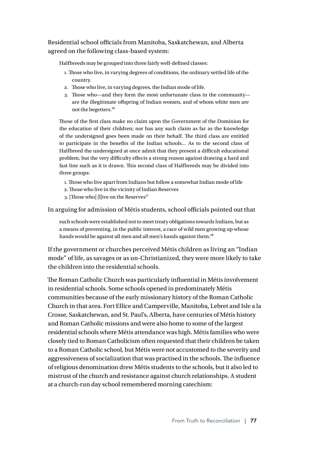Residential school officials from Manitoba, Saskatchewan, and Alberta agreed on the following class-based system:

Halfbreeds may be grouped into three fairly well-defined classes:

- 1. Those who live, in varying degrees of conditions, the ordinary settled life of the country.
- 2. Those who live, in varying degrees, the Indian mode of life.
- 3. Those wh0—and they form the most unfortunate class in the community are the illegitimate offspring of Indian women, and of whom white men are not the begetters.<sup>16</sup>

Those of the first class make no claim upon the Government of the Dominion for the education of their children; nor has any such claim as far as the knowledge of the undersigned goes been made on their behalf. The third class are entitled to participate in the benefits of the Indian schools… As to the second class of Halfbreed the undersigned at once admit that they present a difficult educational problem, but the very difficulty effects a strong reason against drawing a hard and fast line such as it is drawn. This second class of Halfbreeds may be divided into three groups:

- 1. Those who live apart from Indians but follow a somewhat Indian mode of life
- 2. Those who live in the vicinity of Indian Reserves
- 3. [Those who] [l]ive on the Reserves<sup>17</sup>

In arguing for admission of Métis students, school officials pointed out that

such schools were established not to meet treaty obligations towards Indians, but as a means of preventing, in the public interest, a race of wild men growing up whose hands would be against all men and all men's hands against them.<sup>18</sup>

If the government or churches perceived Métis children as living an "Indian mode" of life, as savages or as un-Christianized, they were more likely to take the children into the residential schools.

The Roman Catholic Church was particularly influential in Métis involvement in residential schools. Some schools opened in predominately Métis communities because of the early missionary history of the Roman Catholic Church in that area. Fort Ellice and Camperville, Manitoba, Lebret and Isle a la Crosse, Saskatchewan, and St. Paul's, Alberta, have centuries of Métis history and Roman Catholic missions and were also home to some of the largest residential schools where Métis attendance was high. Métis families who were closely tied to Roman Catholicism often requested that their children be taken to a Roman Catholic school, but Métis were not accustomed to the severity and aggressiveness of socialization that was practised in the schools. The influence of religious denomination drew Métis students to the schools, but it also led to mistrust of the church and resistance against church relationships. A student at a church-run day school remembered morning catechism: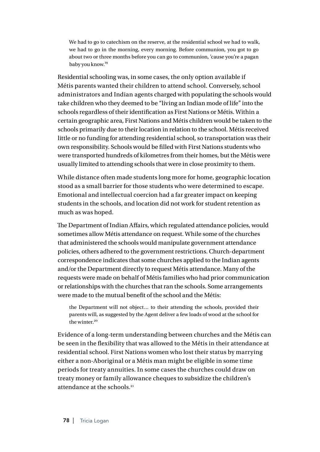We had to go to catechism on the reserve, at the residential school we had to walk, we had to go in the morning, every morning. Before communion, you got to go about two or three months before you can go to communion, 'cause you're a pagan baby you know.<sup>19</sup>

Residential schooling was, in some cases, the only option available if Métis parents wanted their children to attend school. Conversely, school administrators and Indian agents charged with populating the schools would take children who they deemed to be "living an Indian mode of life" into the schools regardless of their identification as First Nations or Métis. Within a certain geographic area, First Nations and Métis children would be taken to the schools primarily due to their location in relation to the school. Métis received little or no funding for attending residential school, so transportation was their own responsibility. Schools would be filled with First Nations students who were transported hundreds of kilometres from their homes, but the Métis were usually limited to attending schools that were in close proximity to them.

While distance often made students long more for home, geographic location stood as a small barrier for those students who were determined to escape. Emotional and intellectual coercion had a far greater impact on keeping students in the schools, and location did not work for student retention as much as was hoped.

The Department of Indian Affairs, which regulated attendance policies, would sometimes allow Métis attendance on request. While some of the churches that administered the schools would manipulate government attendance policies, others adhered to the government restrictions. Church-department correspondence indicates that some churches applied to the Indian agents and/or the Department directly to request Métis attendance. Many of the requests were made on behalf of Métis families who had prior communication or relationships with the churches that ran the schools. Some arrangements were made to the mutual benefit of the school and the Métis:

the Department will not object… to their attending the schools, provided their parents will, as suggested by the Agent deliver a few loads of wood at the school for the winter.<sup>20</sup>

Evidence of a long-term understanding between churches and the Métis can be seen in the flexibility that was allowed to the Métis in their attendance at residential school. First Nations women who lost their status by marrying either a non-Aboriginal or a Métis man might be eligible in some time periods for treaty annuities. In some cases the churches could draw on treaty money or family allowance cheques to subsidize the children's attendance at the schools.21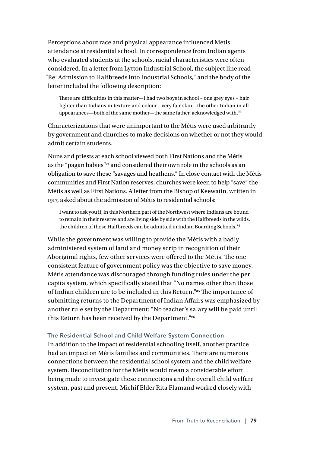Perceptions about race and physical appearance influenced Métis attendance at residential school. In correspondence from Indian agents who evaluated students at the schools, racial characteristics were often considered. In a letter from Lytton Industrial School, the subject line read "Re: Admission to Halfbreeds into Industrial Schools," and the body of the letter included the following description:

There are difficulties in this matter—I had two boys in school – one grey eyes – hair lighter than Indians in texture and colour—very fair skin—the other Indian in all appearances—both of the same mother—the same father, acknowledged with.<sup>22</sup>

Characterizations that were unimportant to the Métis were used arbitrarily by government and churches to make decisions on whether or not they would admit certain students.

Nuns and priests at each school viewed both First Nations and the Métis as the "pagan babies"<sup>23</sup> and considered their own role in the schools as an obligation to save these "savages and heathens." In close contact with the Métis communities and First Nation reserves, churches were keen to help "save" the Métis as well as First Nations. A letter from the Bishop of Keewatin, written in 1917, asked about the admission of Métis to residential schools:

I want to ask you if, in this Northern part of the Northwest where Indians are bound to remain in their reserve and are living side by side with the Halfbreeds in the wilds, the children of those Halfbreeds can be admitted in Indian Boarding Schools.<sup>24</sup>

While the government was willing to provide the Métis with a badly administered system of land and money scrip in recognition of their Aboriginal rights, few other services were offered to the Métis. The one consistent feature of government policy was the objective to save money. Métis attendance was discouraged through funding rules under the per capita system, which specifically stated that "No names other than those of Indian children are to be included in this Return."<sup>25</sup> The importance of submitting returns to the Department of Indian Affairs was emphasized by another rule set by the Department: "No teacher's salary will be paid until this Return has been received by the Department."<sup>26</sup>

### The Residential School and Child Welfare System Connection

In addition to the impact of residential schooling itself, another practice had an impact on Métis families and communities. There are numerous connections between the residential school system and the child welfare system. Reconciliation for the Métis would mean a considerable effort being made to investigate these connections and the overall child welfare system, past and present. Michif Elder Rita Flamand worked closely with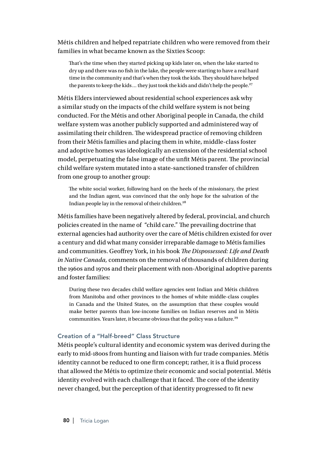Métis children and helped repatriate children who were removed from their families in what became known as the Sixties Scoop:

That's the time when they started picking up kids later on, when the lake started to dry up and there was no fish in the lake, the people were starting to have a real hard time in the community and that's when they took the kids. They should have helped the parents to keep the kids ... they just took the kids and didn't help the people.<sup>27</sup>

Métis Elders interviewed about residential school experiences ask why a similar study on the impacts of the child welfare system is not being conducted. For the Métis and other Aboriginal people in Canada, the child welfare system was another publicly supported and administered way of assimilating their children. The widespread practice of removing children from their Métis families and placing them in white, middle-class foster and adoptive homes was ideologically an extension of the residential school model, perpetuating the false image of the unfit Métis parent. The provincial child welfare system mutated into a state-sanctioned transfer of children from one group to another group:

The white social worker, following hard on the heels of the missionary, the priest and the Indian agent, was convinced that the only hope for the salvation of the Indian people lay in the removal of their children.<sup>28</sup>

Métis families have been negatively altered by federal, provincial, and church policies created in the name of "child care." The prevailing doctrine that external agencies had authority over the care of Métis children existed for over a century and did what many consider irreparable damage to Métis families and communities. Geoffrey York, in his book *The Dispossessed: Life and Death in Native Canada,* comments on the removal of thousands of children during the 1960s and 1970s and their placement with non-Aboriginal adoptive parents and foster families:

During these two decades child welfare agencies sent Indian and Métis children from Manitoba and other provinces to the homes of white middle-class couples in Canada and the United States, on the assumption that these couples would make better parents than low-income families on Indian reserves and in Métis communities. Years later, it became obvious that the policy was a failure.<sup>29</sup>

#### Creation of a "Half-breed" Class Structure

Métis people's cultural identity and economic system was derived during the early to mid-1800s from hunting and liaison with fur trade companies. Métis identity cannot be reduced to one firm concept; rather, it is a fluid process that allowed the Métis to optimize their economic and social potential. Métis identity evolved with each challenge that it faced. The core of the identity never changed, but the perception of that identity progressed to fit new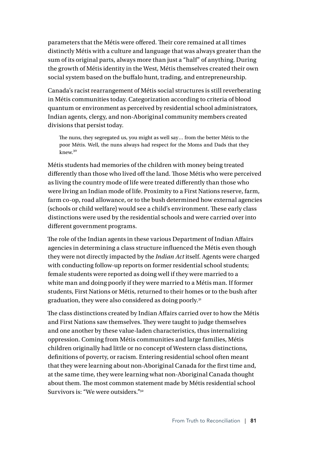parameters that the Métis were offered. Their core remained at all times distinctly Métis with a culture and language that was always greater than the sum of its original parts, always more than just a "half" of anything. During the growth of Métis identity in the West, Métis themselves created their own social system based on the buffalo hunt, trading, and entrepreneurship.

Canada's racist rearrangement of Métis social structures is still reverberating in Métis communities today. Categorization according to criteria of blood quantum or environment as perceived by residential school administrators, Indian agents, clergy, and non-Aboriginal community members created divisions that persist today.

The nuns, they segregated us, you might as well say… from the better Métis to the poor Métis. Well, the nuns always had respect for the Moms and Dads that they knew.<sup>30</sup>

Métis students had memories of the children with money being treated differently than those who lived off the land. Those Métis who were perceived as living the country mode of life were treated differently than those who were living an Indian mode of life. Proximity to a First Nations reserve, farm, farm co-op, road allowance, or to the bush determined how external agencies (schools or child welfare) would see a child's environment. These early class distinctions were used by the residential schools and were carried over into different government programs.

The role of the Indian agents in these various Department of Indian Affairs agencies in determining a class structure influenced the Métis even though they were not directly impacted by the *Indian Act* itself. Agents were charged with conducting follow-up reports on former residential school students; female students were reported as doing well if they were married to a white man and doing poorly if they were married to a Métis man. If former students, First Nations or Métis, returned to their homes or to the bush after graduation, they were also considered as doing poorly.<sup>31</sup>

The class distinctions created by Indian Affairs carried over to how the Métis and First Nations saw themselves. They were taught to judge themselves and one another by these value-laden characteristics, thus internalizing oppression. Coming from Métis communities and large families, Métis children originally had little or no concept of Western class distinctions, definitions of poverty, or racism. Entering residential school often meant that they were learning about non-Aboriginal Canada for the first time and, at the same time, they were learning what non-Aboriginal Canada thought about them. The most common statement made by Métis residential school Survivors is: "We were outsiders<sup>"32</sup>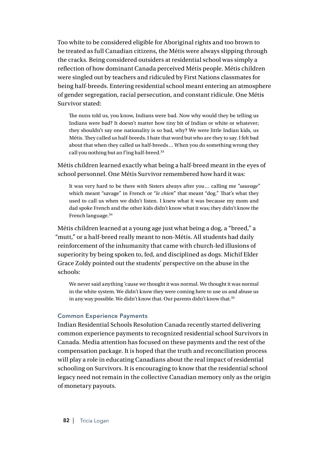Too white to be considered eligible for Aboriginal rights and too brown to be treated as full Canadian citizens, the Métis were always slipping through the cracks. Being considered outsiders at residential school was simply a reflection of how dominant Canada perceived Métis people. Métis children were singled out by teachers and ridiculed by First Nations classmates for being half-breeds. Entering residential school meant entering an atmosphere of gender segregation, racial persecution, and constant ridicule. One Métis Survivor stated:

The nuns told us, you know, Indians were bad. Now why would they be telling us Indians were bad? It doesn't matter how tiny bit of Indian or white or whatever; they shouldn't say one nationality is so bad, why? We were little Indian kids, us Métis. They called us half-breeds. I hate that word but who are they to say. I felt bad about that when they called us half-breeds… When you do something wrong they call you nothing but an f'ing half-breed.<sup>33</sup>

Métis children learned exactly what being a half-breed meant in the eyes of school personnel. One Métis Survivor remembered how hard it was:

It was very hard to be there with Sisters always after you… calling me "*sauvage*" which meant "savage" in French or "*le chien*" that meant "dog." That's what they used to call us when we didn't listen. I knew what it was because my mom and dad spoke French and the other kids didn't know what it was; they didn't know the French language.<sup>34</sup>

Métis children learned at a young age just what being a dog, a "breed," a "mutt," or a half-breed really meant to non-Métis. All students had daily reinforcement of the inhumanity that came with church-led illusions of superiority by being spoken to, fed, and disciplined as dogs. Michif Elder Grace Zoldy pointed out the students' perspective on the abuse in the schools:

We never said anything 'cause we thought it was normal. We thought it was normal in the white system. We didn't know they were coming here to use us and abuse us in any way possible. We didn't know that. Our parents didn't know that.<sup>35</sup>

#### Common Experience Payments

Indian Residential Schools Resolution Canada recently started delivering common experience payments to recognized residential school Survivors in Canada. Media attention has focused on these payments and the rest of the compensation package. It is hoped that the truth and reconciliation process will play a role in educating Canadians about the real impact of residential schooling on Survivors. It is encouraging to know that the residential school legacy need not remain in the collective Canadian memory only as the origin of monetary payouts.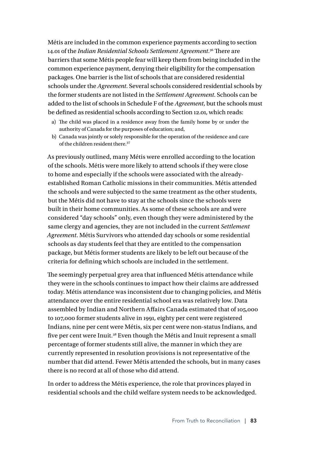Métis are included in the common experience payments according to section 14.01 of the *Indian Residential Schools Settlement Agreement*. 36 There are barriers that some Métis people fear will keep them from being included in the common experience payment, denying their eligibility for the compensation packages. One barrier is the list of schools that are considered residential schools under the *Agreement*. Several schools considered residential schools by the former students are not listed in the *Settlement Agreement*. Schools can be added to the list of schools in Schedule F of the *Agreement*, but the schools must be defined as residential schools according to Section 12.01, which reads:

- a) The child was placed in a residence away from the family home by or under the authority of Canada for the purposes of education; and,
- b) Canada was jointly or solely responsible for the operation of the residence and care of the children resident there <sup>37</sup>

As previously outlined, many Métis were enrolled according to the location of the schools. Métis were more likely to attend schools if they were close to home and especially if the schools were associated with the alreadyestablished Roman Catholic missions in their communities. Métis attended the schools and were subjected to the same treatment as the other students, but the Métis did not have to stay at the schools since the schools were built in their home communities. As some of these schools are and were considered "day schools" only, even though they were administered by the same clergy and agencies, they are not included in the current *Settlement Agreement*. Métis Survivors who attended day schools or some residential schools as day students feel that they are entitled to the compensation package, but Métis former students are likely to be left out because of the criteria for defining which schools are included in the settlement.

The seemingly perpetual grey area that influenced Métis attendance while they were in the schools continues to impact how their claims are addressed today. Métis attendance was inconsistent due to changing policies, and Métis attendance over the entire residential school era was relatively low. Data assembled by Indian and Northern Affairs Canada estimated that of 105,000 to 107,000 former students alive in 1991, eighty per cent were registered Indians, nine per cent were Métis, six per cent were non-status Indians, and five per cent were Inuit.38 Even though the Métis and Inuit represent a small percentage of former students still alive, the manner in which they are currently represented in resolution provisions is not representative of the number that did attend. Fewer Métis attended the schools, but in many cases there is no record at all of those who did attend.

In order to address the Métis experience, the role that provinces played in residential schools and the child welfare system needs to be acknowledged.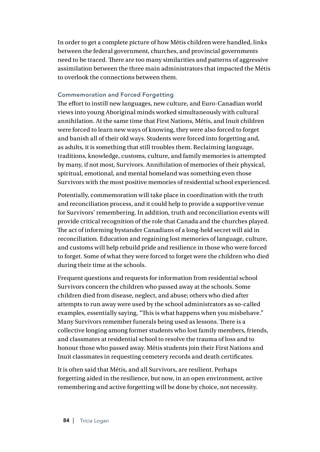In order to get a complete picture of how Métis children were handled, links between the federal government, churches, and provincial governments need to be traced. There are too many similarities and patterns of aggressive assimilation between the three main administrators that impacted the Métis to overlook the connections between them.

# Commemoration and Forced Forgetting

The effort to instill new languages, new culture, and Euro-Canadian world views into young Aboriginal minds worked simultaneously with cultural annihilation. At the same time that First Nations, Métis, and Inuit children were forced to learn new ways of knowing, they were also forced to forget and banish all of their old ways. Students were forced into forgetting and, as adults, it is something that still troubles them. Reclaiming language, traditions, knowledge, customs, culture, and family memories is attempted by many, if not most, Survivors. Annihilation of memories of their physical, spiritual, emotional, and mental homeland was something even those Survivors with the most positive memories of residential school experienced.

Potentially, commemoration will take place in coordination with the truth and reconciliation process, and it could help to provide a supportive venue for Survivors' remembering. In addition, truth and reconciliation events will provide critical recognition of the role that Canada and the churches played. The act of informing bystander Canadians of a long-held secret will aid in reconciliation. Education and regaining lost memories of language, culture, and customs will help rebuild pride and resilience in those who were forced to forget. Some of what they were forced to forget were the children who died during their time at the schools.

Frequent questions and requests for information from residential school Survivors concern the children who passed away at the schools. Some children died from disease, neglect, and abuse; others who died after attempts to run away were used by the school administrators as so-called examples, essentially saying, "This is what happens when you misbehave." Many Survivors remember funerals being used as lessons. There is a collective longing among former students who lost family members, friends, and classmates at residential school to resolve the trauma of loss and to honour those who passed away. Métis students join their First Nations and Inuit classmates in requesting cemetery records and death certificates.

It is often said that Métis, and all Survivors, are resilient. Perhaps forgetting aided in the resilience, but now, in an open environment, active remembering and active forgetting will be done by choice, not necessity.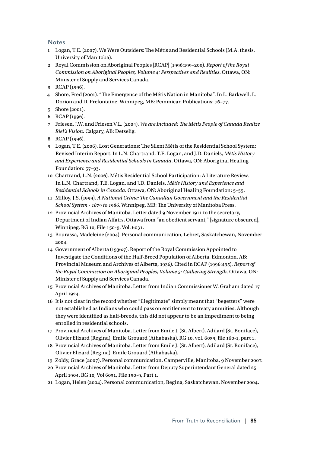#### **Notes**

- 1 Logan, T.E. (2007). We Were Outsiders: The Métis and Residential Schools (M.A. thesis, University of Manitoba).
- 2 Royal Commission on Aboriginal Peoples [RCAP] (1996:199–200). *Report of the Royal Commission on Aboriginal Peoples, Volume 4: Perspectives and Realities*. Ottawa, ON: Minister of Supply and Services Canada.
- 3 RCAP (1996).
- 4 Shore, Fred (2001). "The Emergence of the Métis Nation in Manitoba". In L. Barkwell, L. Dorion and D. Prefontaine. Winnipeg, MB: Pemmican Publications: 76–77.
- 5 Shore (2001).
- 6 RCAP (1996).
- 7 Friesen, J.W. and Friesen V.L. (2004). *We are Included: The Métis People of Canada Realize Riel's Vision*. Calgary, AB: Detselig.
- 8 RCAP (1996).
- 9 Logan, T.E. (2006). Lost Generations: The Silent Métis of the Residential School System: Revised Interim Report. In L.N. Chartrand, T.E. Logan, and J.D. Daniels, *Métis History and Experience and Residential Schools in Canada*. Ottawa, ON: Aboriginal Healing Foundation: 57–93.
- 10 Chartrand, L.N. (2006). Métis Residential School Participation: A Literature Review. In L.N. Chartrand, T.E. Logan, and J.D. Daniels, *Métis History and Experience and Residential Schools in Canada*. Ottawa, ON: Aboriginal Healing Foundation: 5–55.
- 11 Milloy, J.S. (1999). *A National Crime: The Canadian Government and the Residential School System - 1879 to 1986*. Winnipeg, MB: The University of Manitoba Press.
- 12 Provincial Archives of Manitoba. Letter dated 9 November 1911 to the secretary, Department of Indian Affairs, Ottawa from "an obedient servant," [signature obscured], Winnipeg. RG 10, File 150-9, Vol. 6031.
- 13 Bourassa, Madeleine (2004). Personal communication, Lebret, Saskatchewan, November 2004.
- 14 Government of Alberta (1936:7). Report of the Royal Commission Appointed to Investigate the Conditions of the Half-Breed Population of Alberta. Edmonton, AB: Provincial Museum and Archives of Alberta, 1936). Cited in RCAP (1996:435). *Report of the Royal Commission on Aboriginal Peoples, Volume 3: Gathering Strength*. Ottawa, ON: Minister of Supply and Services Canada.
- 15 Provincial Archives of Manitoba. Letter from Indian Commissioner W. Graham dated 17 April 1924.
- 16 It is not clear in the record whether "illegitimate" simply meant that "begetters" were not established as Indians who could pass on entitlement to treaty annuities. Although they were identified as half-breeds, this did not appear to be an impediment to being enrolled in residential schools.
- 17 Provincial Archives of Manitoba. Letter from Emile J. (St. Albert), Adilard (St. Boniface), Olivier Elizard (Regina), Emile Grouard (Athabaska). RG 10, vol. 6039, file 160-1, part 1.
- 18 Provincial Archives of Manitoba. Letter from Emile J. (St. Albert), Adilard (St. Boniface), Olivier Elizard (Regina), Emile Grouard (Athabaska).
- 19 Zoldy, Grace (2007). Personal communication, Camperville, Manitoba, 9 November 2007.
- 20 Provincial Archives of Manitoba. Letter from Deputy Superintendant General dated 25 April 1904. RG 10, Vol 6031, File 150-9, Part 1.
- 21 Logan, Helen (2004). Personal communication, Regina, Saskatchewan, November 2004.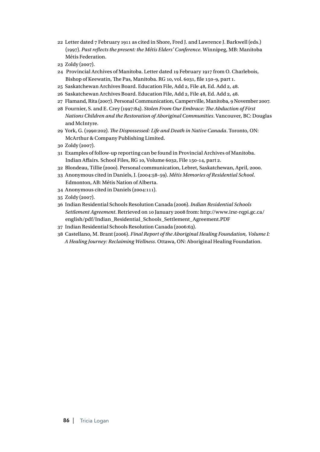- 22 Letter dated 7 February 1911 as cited in Shore, Fred J. and Lawrence J. Barkwell (eds.) (1997). *Past reflects the present: the Métis Elders' Conference.* Winnipeg, MB: Manitoba Métis Federation.
- 23 Zoldy (2007).
- 24 Provincial Archives of Manitoba. Letter dated 19 February 1917 from O. Charlebois, Bishop of Keewatin, The Pas, Manitoba. RG 10, vol. 6031, file 150-9, part 1.
- 25 Saskatchewan Archives Board. Education File, Add 2, File 48, Ed. Add 2, 48.
- 26 Saskatchewan Archives Board. Education File, Add 2, File 48, Ed. Add 2, 48.
- 27 Flamand, Rita (2007). Personal Communication, Camperville, Manitoba, 9 November 2007.
- 28 Fournier, S. and E. Crey (1997:84). *Stolen From Our Embrace: The Abduction of First Nations Children and the Restoration of Aboriginal Communities*. Vancouver, BC: Douglas and McIntyre.
- 29 York, G. (1990:202). *The Dispossessed: Life and Death in Native Canada*. Toronto, ON: McArthur & Company Publishing Limited.
- 30 Zoldy (2007).
- 31 Examples of follow-up reporting can be found in Provincial Archives of Manitoba. Indian Affairs. School Files, RG 10, Volume 6032, File 150-14, part 2.
- 32 Blondeau, Tillie (2000). Personal communication, Lebret, Saskatchewan, April, 2000.
- 33 Anonymous cited in Daniels, J. (2004:58–59). *Métis Memories of Residential School*. Edmonton, AB: Métis Nation of Alberta.
- 34 Anonymous cited in Daniels (2004:111).
- 35 Zoldy (2007).
- 36 Indian Residential Schools Resolution Canada (2006). *Indian Residential Schools Settlement Agreement*. Retrieved on 10 January 2008 from: http://www.irsr-rqpi.gc.ca/ english/pdf/Indian\_Residential\_Schools\_Settlement\_Agreement.PDF
- 37 Indian Residential Schools Resolution Canada (2006:63).
- 38 Castellano, M. Brant (2006). *Final Report of the Aboriginal Healing Foundation, Volume I: A Healing Journey: Reclaiming Wellness*. Ottawa, ON: Aboriginal Healing Foundation.